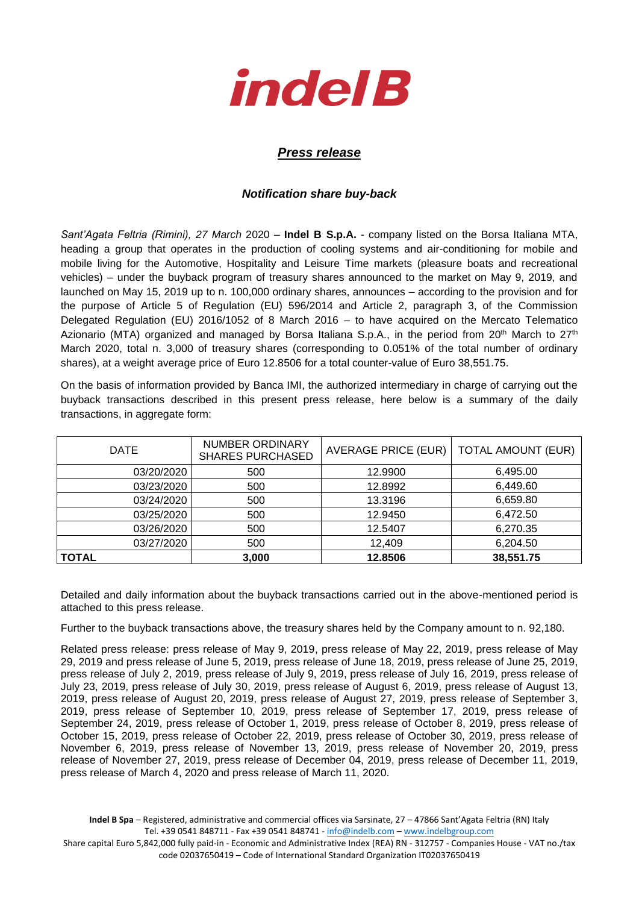

## *Press release*

## *Notification share buy-back*

*Sant'Agata Feltria (Rimini), 27 March* 2020 – **Indel B S.p.A.** - company listed on the Borsa Italiana MTA, heading a group that operates in the production of cooling systems and air-conditioning for mobile and mobile living for the Automotive, Hospitality and Leisure Time markets (pleasure boats and recreational vehicles) – under the buyback program of treasury shares announced to the market on May 9, 2019, and launched on May 15, 2019 up to n. 100,000 ordinary shares, announces – according to the provision and for the purpose of Article 5 of Regulation (EU) 596/2014 and Article 2, paragraph 3, of the Commission Delegated Regulation (EU) 2016/1052 of 8 March 2016 – to have acquired on the Mercato Telematico Azionario (MTA) organized and managed by Borsa Italiana S.p.A., in the period from  $20<sup>th</sup>$  March to  $27<sup>th</sup>$ March 2020, total n. 3,000 of treasury shares (corresponding to 0.051% of the total number of ordinary shares), at a weight average price of Euro 12.8506 for a total counter-value of Euro 38,551.75.

On the basis of information provided by Banca IMI, the authorized intermediary in charge of carrying out the buyback transactions described in this present press release, here below is a summary of the daily transactions, in aggregate form:

| <b>DATE</b>  | <b>NUMBER ORDINARY</b><br><b>SHARES PURCHASED</b> | <b>AVERAGE PRICE (EUR)</b> | <b>TOTAL AMOUNT (EUR)</b> |  |
|--------------|---------------------------------------------------|----------------------------|---------------------------|--|
| 03/20/2020   | 500                                               | 12.9900                    | 6,495.00                  |  |
| 03/23/2020   | 500                                               | 12.8992                    | 6,449.60                  |  |
| 03/24/2020   | 500                                               | 13.3196                    | 6,659.80                  |  |
| 03/25/2020   | 500                                               | 12.9450                    | 6,472.50                  |  |
| 03/26/2020   | 500                                               | 12.5407                    | 6,270.35                  |  |
| 03/27/2020   | 500                                               | 12,409                     | 6,204.50                  |  |
| <b>TOTAL</b> | 3,000                                             | 12.8506                    | 38,551.75                 |  |

Detailed and daily information about the buyback transactions carried out in the above-mentioned period is attached to this press release.

Further to the buyback transactions above, the treasury shares held by the Company amount to n. 92,180.

Related press release: press release of May 9, 2019, press release of May 22, 2019, press release of May 29, 2019 and press release of June 5, 2019, press release of June 18, 2019, press release of June 25, 2019, press release of July 2, 2019, press release of July 9, 2019, press release of July 16, 2019, press release of July 23, 2019, press release of July 30, 2019, press release of August 6, 2019, press release of August 13, 2019, press release of August 20, 2019, press release of August 27, 2019, press release of September 3, 2019, press release of September 10, 2019, press release of September 17, 2019, press release of September 24, 2019, press release of October 1, 2019, press release of October 8, 2019, press release of October 15, 2019, press release of October 22, 2019, press release of October 30, 2019, press release of November 6, 2019, press release of November 13, 2019, press release of November 20, 2019, press release of November 27, 2019, press release of December 04, 2019, press release of December 11, 2019, press release of March 4, 2020 and press release of March 11, 2020.

**Indel B Spa** – Registered, administrative and commercial offices via Sarsinate, 27 – 47866 Sant'Agata Feltria (RN) Italy Tel. +39 0541 848711 - Fax +39 0541 848741 - [info@indelb.com](mailto:info@indelb.com) – [www.indelbgroup.com](http://www.indelbgroup.com/)

Share capital Euro 5,842,000 fully paid-in - Economic and Administrative Index (REA) RN - 312757 - Companies House - VAT no./tax code 02037650419 – Code of International Standard Organization IT02037650419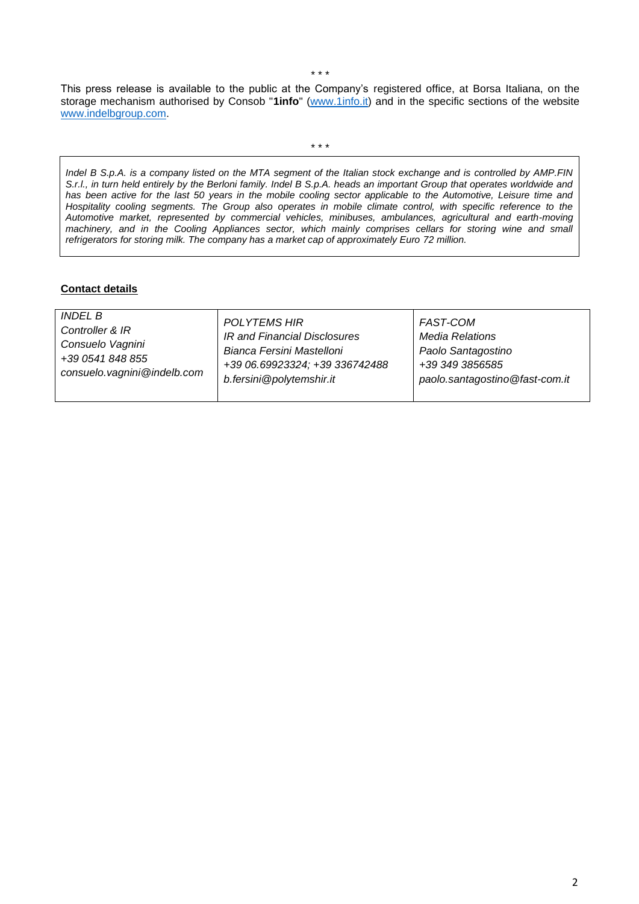This press release is available to the public at the Company's registered office, at Borsa Italiana, on the storage mechanism authorised by Consob "**1info**" [\(www.1info.it\)](file:///C:/Users/ddelietovollaro/AppData/Local/Microsoft/Windows/INetCache/Content.Outlook/T87B94UR/www.1info.it) and in the specific sections of the website [www.indelbgroup.com.](http://www.indelbgroup.com/)

\* \* \*

*Indel B S.p.A. is a company listed on the MTA segment of the Italian stock exchange and is controlled by AMP.FIN S.r.l., in turn held entirely by the Berloni family. Indel B S.p.A. heads an important Group that operates worldwide and has been active for the last 50 years in the mobile cooling sector applicable to the Automotive, Leisure time and Hospitality cooling segments. The Group also operates in mobile climate control, with specific reference to the Automotive market, represented by commercial vehicles, minibuses, ambulances, agricultural and earth-moving*  machinery, and in the Cooling Appliances sector, which mainly comprises cellars for storing wine and small *refrigerators for storing milk. The company has a market cap of approximately Euro 72 million.* 

## **Contact details**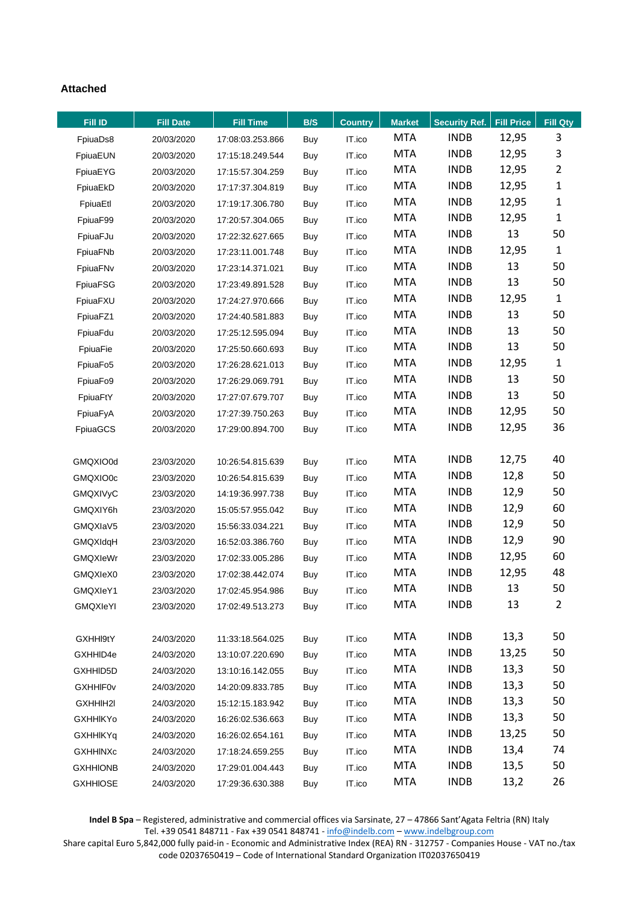## **Attached**

| <b>Fill ID</b>  | <b>Fill Date</b> | <b>Fill Time</b> | B/S        | <b>Country</b> | <b>Market</b> | <b>Security Ref.</b> | <b>Fill Price</b> | Fill Qty       |
|-----------------|------------------|------------------|------------|----------------|---------------|----------------------|-------------------|----------------|
| FpiuaDs8        | 20/03/2020       | 17:08:03.253.866 | Buy        | IT.ico         | <b>MTA</b>    | <b>INDB</b>          | 12,95             | 3              |
| FpiuaEUN        | 20/03/2020       | 17:15:18.249.544 | Buy        | IT.ico         | <b>MTA</b>    | <b>INDB</b>          | 12,95             | 3              |
| FpiuaEYG        | 20/03/2020       | 17:15:57.304.259 | Buy        | IT.ico         | <b>MTA</b>    | <b>INDB</b>          | 12,95             | $\overline{2}$ |
| FpiuaEkD        | 20/03/2020       | 17:17:37.304.819 | Buy        | IT.ico         | <b>MTA</b>    | <b>INDB</b>          | 12,95             | $\mathbf{1}$   |
| FpiuaEtl        | 20/03/2020       | 17:19:17.306.780 | Buy        | IT.ico         | <b>MTA</b>    | <b>INDB</b>          | 12,95             | $\mathbf{1}$   |
| FpiuaF99        | 20/03/2020       | 17:20:57.304.065 | Buy        | IT.ico         | <b>MTA</b>    | <b>INDB</b>          | 12,95             | $\mathbf{1}$   |
| FpiuaFJu        | 20/03/2020       | 17:22:32.627.665 | Buy        | IT.ico         | <b>MTA</b>    | <b>INDB</b>          | 13                | 50             |
| FpiuaFNb        | 20/03/2020       | 17:23:11.001.748 | Buy        | IT.ico         | <b>MTA</b>    | <b>INDB</b>          | 12,95             | $\mathbf{1}$   |
| FpiuaFNv        | 20/03/2020       | 17:23:14.371.021 | Buy        | IT.ico         | <b>MTA</b>    | <b>INDB</b>          | 13                | 50             |
| FpiuaFSG        | 20/03/2020       | 17:23:49.891.528 | Buy        | IT.ico         | <b>MTA</b>    | <b>INDB</b>          | 13                | 50             |
| FpiuaFXU        | 20/03/2020       | 17:24:27.970.666 | Buy        | IT.ico         | <b>MTA</b>    | <b>INDB</b>          | 12,95             | $\mathbf{1}$   |
| FpiuaFZ1        | 20/03/2020       | 17:24:40.581.883 | Buy        | IT.ico         | <b>MTA</b>    | <b>INDB</b>          | 13                | 50             |
| FpiuaFdu        | 20/03/2020       | 17:25:12.595.094 | Buy        | IT.ico         | <b>MTA</b>    | <b>INDB</b>          | 13                | 50             |
| FpiuaFie        | 20/03/2020       | 17:25:50.660.693 | Buy        | IT.ico         | <b>MTA</b>    | <b>INDB</b>          | 13                | 50             |
| FpiuaFo5        | 20/03/2020       | 17:26:28.621.013 | Buy        | IT.ico         | <b>MTA</b>    | <b>INDB</b>          | 12,95             | $\mathbf{1}$   |
| FpiuaFo9        | 20/03/2020       | 17:26:29.069.791 | Buy        | IT.ico         | <b>MTA</b>    | <b>INDB</b>          | 13                | 50             |
| FpiuaFtY        | 20/03/2020       | 17:27:07.679.707 | Buy        | IT.ico         | <b>MTA</b>    | <b>INDB</b>          | 13                | 50             |
| FpiuaFyA        | 20/03/2020       | 17:27:39.750.263 | Buy        | IT.ico         | <b>MTA</b>    | <b>INDB</b>          | 12,95             | 50             |
| FpiuaGCS        | 20/03/2020       | 17:29:00.894.700 | Buy        | IT.ico         | <b>MTA</b>    | <b>INDB</b>          | 12,95             | 36             |
|                 |                  |                  |            |                |               |                      |                   |                |
| GMQXIO0d        | 23/03/2020       | 10:26:54.815.639 | Buy        | IT.ico         | <b>MTA</b>    | <b>INDB</b>          | 12,75             | 40             |
| GMQXIO0c        | 23/03/2020       | 10:26:54.815.639 | Buy        | IT.ico         | <b>MTA</b>    | <b>INDB</b>          | 12,8              | 50             |
| <b>GMQXIVyC</b> | 23/03/2020       | 14:19:36.997.738 | Buy        | IT.ico         | <b>MTA</b>    | <b>INDB</b>          | 12,9              | 50             |
| GMQXIY6h        | 23/03/2020       | 15:05:57.955.042 | Buy        | IT.ico         | <b>MTA</b>    | <b>INDB</b>          | 12,9              | 60             |
| GMQXIaV5        | 23/03/2020       | 15:56:33.034.221 | Buy        | IT.ico         | <b>MTA</b>    | <b>INDB</b>          | 12,9              | 50             |
| GMQXIdqH        | 23/03/2020       | 16:52:03.386.760 | Buy        | IT.ico         | <b>MTA</b>    | <b>INDB</b>          | 12,9              | 90             |
| GMQXIeWr        | 23/03/2020       | 17:02:33.005.286 | Buy        | IT.ico         | <b>MTA</b>    | <b>INDB</b>          | 12,95             | 60             |
| GMQXIeX0        | 23/03/2020       | 17:02:38.442.074 | Buy        | IT.ico         | <b>MTA</b>    | <b>INDB</b>          | 12,95             | 48             |
| GMQXIeY1        | 23/03/2020       | 17:02:45.954.986 | Buy        | IT.ico         | <b>MTA</b>    | <b>INDB</b>          | 13                | 50             |
| GMQXIeYI        | 23/03/2020       | 17:02:49.513.273 | Buy        | IT.ico         | <b>MTA</b>    | <b>INDB</b>          | 13                | 2              |
|                 |                  |                  |            |                |               |                      |                   |                |
| GXHHI9tY        | 24/03/2020       | 11:33:18.564.025 | Buy        | IT.ico         | MTA           | <b>INDB</b>          | 13,3              | 50             |
| GXHHID4e        | 24/03/2020       | 13:10:07.220.690 | Buy        | IT.ico         | <b>MTA</b>    | <b>INDB</b>          | 13,25             | 50             |
| GXHHID5D        | 24/03/2020       | 13:10:16.142.055 | Buy        | IT.ico         | <b>MTA</b>    | <b>INDB</b>          | 13,3              | 50             |
| <b>GXHHIF0v</b> | 24/03/2020       | 14:20:09.833.785 | Buy        | IT.ico         | <b>MTA</b>    | <b>INDB</b>          | 13,3              | 50             |
| GXHHIH2I        | 24/03/2020       | 15:12:15.183.942 | Buy        | IT.ico         | <b>MTA</b>    | <b>INDB</b>          | 13,3              | 50             |
| <b>GXHHIKYo</b> | 24/03/2020       | 16:26:02.536.663 | <b>Buy</b> | IT.ico         | <b>MTA</b>    | <b>INDB</b>          | 13,3              | 50             |
| <b>GXHHIKYq</b> | 24/03/2020       | 16:26:02.654.161 | Buy        | IT.ico         | MTA           | <b>INDB</b>          | 13,25             | 50             |
| <b>GXHHINXc</b> | 24/03/2020       | 17:18:24.659.255 | Buy        | IT.ico         | <b>MTA</b>    | <b>INDB</b>          | 13,4              | 74             |
| <b>GXHHIONB</b> | 24/03/2020       | 17:29:01.004.443 | <b>Buy</b> | IT.ico         | <b>MTA</b>    | <b>INDB</b>          | 13,5              | 50             |
| <b>GXHHIOSE</b> | 24/03/2020       | 17:29:36.630.388 | <b>Buy</b> | IT.ico         | <b>MTA</b>    | <b>INDB</b>          | 13,2              | 26             |

**Indel B Spa** – Registered, administrative and commercial offices via Sarsinate, 27 – 47866 Sant'Agata Feltria (RN) Italy Tel. +39 0541 848711 - Fax +39 0541 848741 - [info@indelb.com](mailto:info@indelb.com) – [www.indelbgroup.com](http://www.indelbgroup.com/)

Share capital Euro 5,842,000 fully paid-in - Economic and Administrative Index (REA) RN - 312757 - Companies House - VAT no./tax code 02037650419 – Code of International Standard Organization IT02037650419